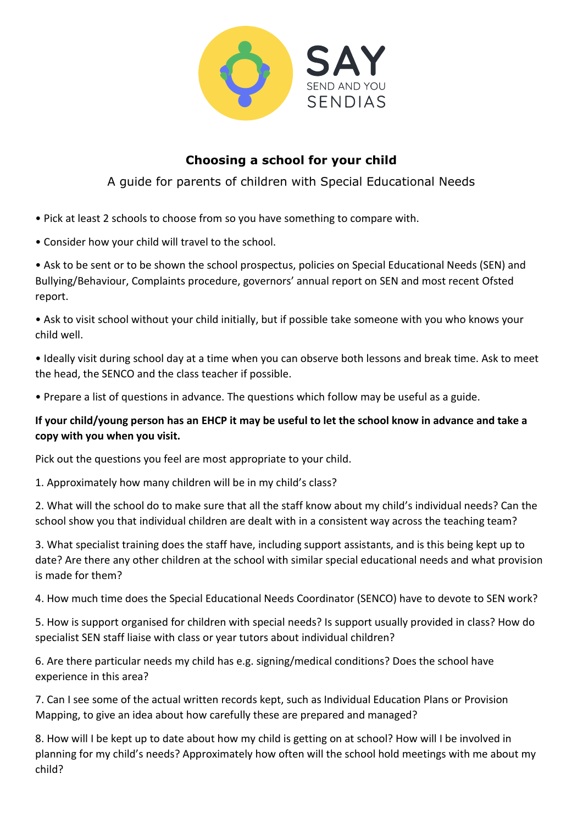

## **Choosing a school for your child**

A guide for parents of children with Special Educational Needs

- Pick at least 2 schools to choose from so you have something to compare with.
- Consider how your child will travel to the school.

• Ask to be sent or to be shown the school prospectus, policies on Special Educational Needs (SEN) and Bullying/Behaviour, Complaints procedure, governors' annual report on SEN and most recent Ofsted report.

• Ask to visit school without your child initially, but if possible take someone with you who knows your child well.

• Ideally visit during school day at a time when you can observe both lessons and break time. Ask to meet the head, the SENCO and the class teacher if possible.

• Prepare a list of questions in advance. The questions which follow may be useful as a guide.

## **If your child/young person has an EHCP it may be useful to let the school know in advance and take a copy with you when you visit.**

Pick out the questions you feel are most appropriate to your child.

1. Approximately how many children will be in my child's class?

2. What will the school do to make sure that all the staff know about my child's individual needs? Can the school show you that individual children are dealt with in a consistent way across the teaching team?

3. What specialist training does the staff have, including support assistants, and is this being kept up to date? Are there any other children at the school with similar special educational needs and what provision is made for them?

4. How much time does the Special Educational Needs Coordinator (SENCO) have to devote to SEN work?

5. How is support organised for children with special needs? Is support usually provided in class? How do specialist SEN staff liaise with class or year tutors about individual children?

6. Are there particular needs my child has e.g. signing/medical conditions? Does the school have experience in this area?

7. Can I see some of the actual written records kept, such as Individual Education Plans or Provision Mapping, to give an idea about how carefully these are prepared and managed?

8. How will I be kept up to date about how my child is getting on at school? How will I be involved in planning for my child's needs? Approximately how often will the school hold meetings with me about my child?